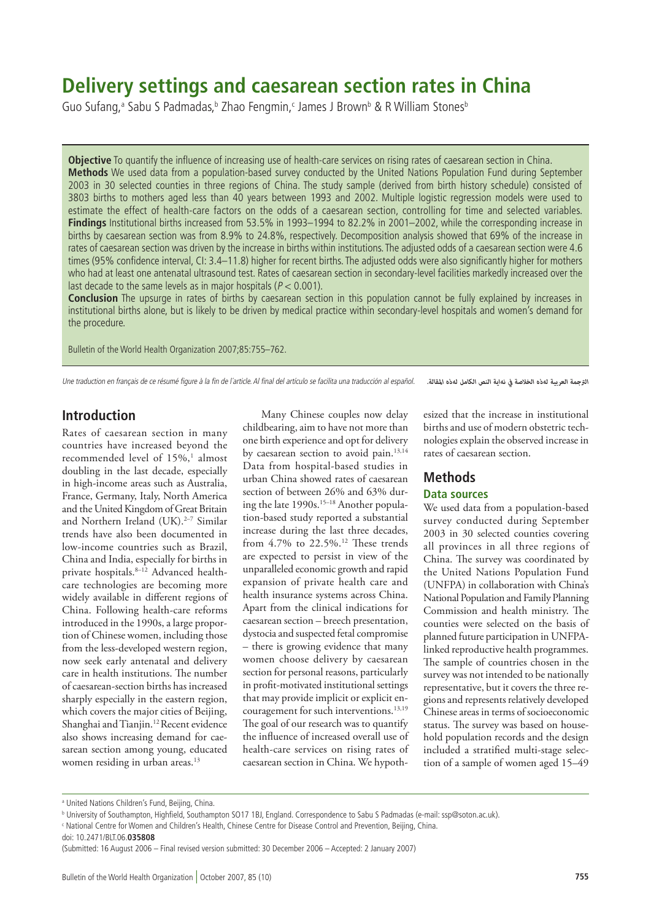# **Delivery settings and caesarean section rates in China**

Guo Sufang,<sup>a</sup> Sabu S Padmadas,<sup>b</sup> Zhao Fengmin,<sup>c</sup> James J Brown<sup>b</sup> & R William Stones<sup>b</sup>

**Objective** To quantify the influence of increasing use of health-care services on rising rates of caesarean section in China. **Methods** We used data from a population-based survey conducted by the United Nations Population Fund during September 2003 in 30 selected counties in three regions of China. The study sample (derived from birth history schedule) consisted of 3803 births to mothers aged less than 40 years between 1993 and 2002. Multiple logistic regression models were used to estimate the effect of health-care factors on the odds of a caesarean section, controlling for time and selected variables. **Findings** Institutional births increased from 53.5% in 1993–1994 to 82.2% in 2001–2002, while the corresponding increase in births by caesarean section was from 8.9% to 24.8%, respectively. Decomposition analysis showed that 69% of the increase in rates of caesarean section was driven by the increase in births within institutions. The adjusted odds of a caesarean section were 4.6 times (95% confidence interval, CI: 3.4–11.8) higher for recent births. The adjusted odds were also significantly higher for mothers who had at least one antenatal ultrasound test. Rates of caesarean section in secondary-level facilities markedly increased over the last decade to the same levels as in major hospitals ( $P < 0.001$ ).

**Conclusion** The upsurge in rates of births by caesarean section in this population cannot be fully explained by increases in institutional births alone, but is likely to be driven by medical practice within secondary-level hospitals and women's demand for the procedure.

Bulletin of the World Health Organization 2007;85:755–762.

Une traduction en français de ce résumé figure à la fin de l´article. Al final del artículo se facilita una traducción al español. *الرتجمة العربية لەذە الخالصة يف نەاية النص الكامل لەذە املقالة.*

# **Introduction**

Rates of caesarean section in many countries have increased beyond the recommended level of 15%,<sup>1</sup> almost doubling in the last decade, especially in high-income areas such as Australia, France, Germany, Italy, North America and the United Kingdom of Great Britain and Northern Ireland (UK).<sup>2-7</sup> Similar trends have also been documented in low-income countries such as Brazil, China and India, especially for births in private hospitals.<sup>8-12</sup> Advanced healthcare technologies are becoming more widely available in different regions of China. Following health-care reforms introduced in the 1990s, a large proportion of Chinese women, including those from the less-developed western region, now seek early antenatal and delivery care in health institutions. The number of caesarean-section births has increased sharply especially in the eastern region, which covers the major cities of Beijing, Shanghai and Tianjin.12 Recent evidence also shows increasing demand for caesarean section among young, educated women residing in urban areas.<sup>13</sup>

Many Chinese couples now delay childbearing, aim to have not more than one birth experience and opt for delivery by caesarean section to avoid pain.<sup>13,14</sup> Data from hospital-based studies in urban China showed rates of caesarean section of between 26% and 63% during the late 1990s.<sup>15-18</sup> Another population-based study reported a substantial increase during the last three decades, from 4.7% to 22.5%.<sup>12</sup> These trends are expected to persist in view of the unparalleled economic growth and rapid expansion of private health care and health insurance systems across China. Apart from the clinical indications for caesarean section – breech presentation, dystocia and suspected fetal compromise – there is growing evidence that many women choose delivery by caesarean section for personal reasons, particularly in profit-motivated institutional settings that may provide implicit or explicit encouragement for such interventions.<sup>13,19</sup> The goal of our research was to quantify the influence of increased overall use of health-care services on rising rates of caesarean section in China. We hypoth-

esized that the increase in institutional births and use of modern obstetric technologies explain the observed increase in rates of caesarean section.

# **Methods Data sources**

We used data from a population-based survey conducted during September 2003 in 30 selected counties covering all provinces in all three regions of China. The survey was coordinated by the United Nations Population Fund (UNFPA) in collaboration with China's National Population and Family Planning Commission and health ministry. The counties were selected on the basis of planned future participation in UNFPAlinked reproductive health programmes. The sample of countries chosen in the survey was not intended to be nationally representative, but it covers the three regions and represents relatively developed Chinese areas in terms of socioeconomic status. The survey was based on household population records and the design included a stratified multi-stage selection of a sample of women aged 15–49

a United Nations Children's Fund, Beijing, China.

b University of Southampton, Highfield, Southampton SO17 1BJ, England. Correspondence to Sabu S Padmadas (e-mail: ssp@soton.ac.uk).

c National Centre for Women and Children's Health, Chinese Centre for Disease Control and Prevention, Beijing, China.

doi: 10.2471/BLT.06.**035808**

<sup>(</sup>Submitted: 16 August 2006 – Final revised version submitted: 30 December 2006 – Accepted: 2 January 2007)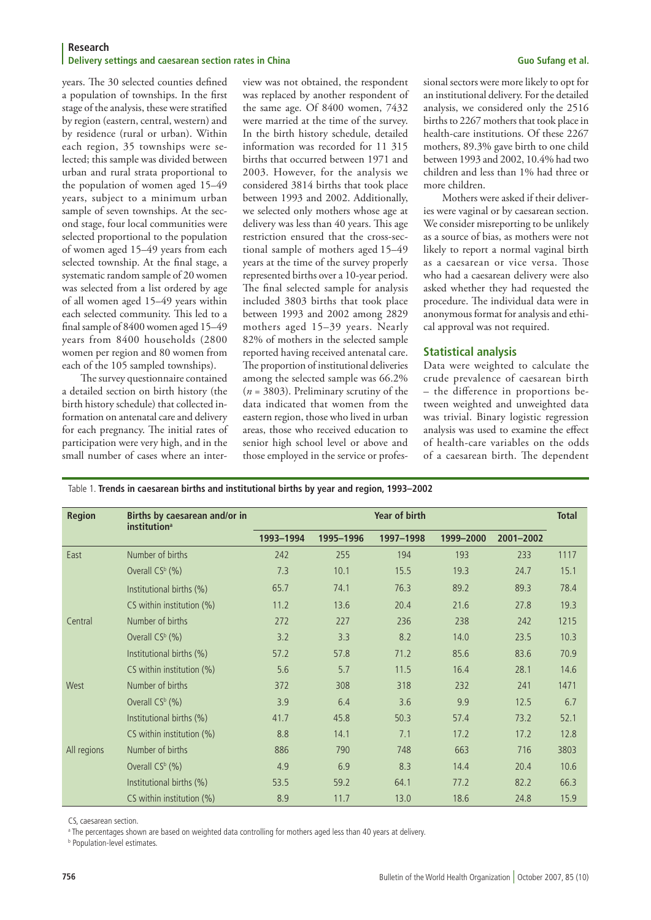## **Research Delivery settings and caesarean section rates in China Guo Sufang et al. Guo Sufang et al. Guo Sufang et al.**

years. The 30 selected counties defined a population of townships. In the first stage of the analysis, these were stratified by region (eastern, central, western) and by residence (rural or urban). Within each region, 35 townships were selected; this sample was divided between urban and rural strata proportional to the population of women aged 15–49 years, subject to a minimum urban sample of seven townships. At the second stage, four local communities were selected proportional to the population of women aged 15–49 years from each selected township. At the final stage, a systematic random sample of 20 women was selected from a list ordered by age of all women aged 15–49 years within each selected community. This led to a final sample of 8400 women aged 15–49 years from 8400 households (2800 women per region and 80 women from each of the 105 sampled townships).

The survey questionnaire contained a detailed section on birth history (the birth history schedule) that collected information on antenatal care and delivery for each pregnancy. The initial rates of participation were very high, and in the small number of cases where an interview was not obtained, the respondent was replaced by another respondent of the same age. Of 8400 women, 7432 were married at the time of the survey. In the birth history schedule, detailed information was recorded for 11 315 births that occurred between 1971 and 2003. However, for the analysis we considered 3814 births that took place between 1993 and 2002. Additionally, we selected only mothers whose age at delivery was less than 40 years. This age restriction ensured that the cross-sectional sample of mothers aged 15–49 years at the time of the survey properly represented births over a 10-year period. The final selected sample for analysis included 3803 births that took place between 1993 and 2002 among 2829 mothers aged 15–39 years. Nearly 82% of mothers in the selected sample reported having received antenatal care. The proportion of institutional deliveries among the selected sample was 66.2% (*n* = 3803). Preliminary scrutiny of the data indicated that women from the eastern region, those who lived in urban areas, those who received education to senior high school level or above and those employed in the service or profes-

sional sectors were more likely to opt for an institutional delivery. For the detailed analysis, we considered only the 2516 births to 2267 mothers that took place in health-care institutions. Of these 2267 mothers, 89.3% gave birth to one child between 1993 and 2002, 10.4% had two children and less than 1% had three or more children.

Mothers were asked if their deliveries were vaginal or by caesarean section. We consider misreporting to be unlikely as a source of bias, as mothers were not likely to report a normal vaginal birth as a caesarean or vice versa. Those who had a caesarean delivery were also asked whether they had requested the procedure. The individual data were in anonymous format for analysis and ethical approval was not required.

# **Statistical analysis**

Data were weighted to calculate the crude prevalence of caesarean birth – the difference in proportions between weighted and unweighted data was trivial. Binary logistic regression analysis was used to examine the effect of health-care variables on the odds of a caesarean birth. The dependent

| Table 1. Trends in caesarean births and institutional births by year and region, 1993–2002 |  |  |  |  |
|--------------------------------------------------------------------------------------------|--|--|--|--|
|--------------------------------------------------------------------------------------------|--|--|--|--|

| <b>Region</b> | Births by caesarean and/or in<br><i>institution<sup>a</sup></i> | <b>Year of birth</b> |           |           |           |           |      |
|---------------|-----------------------------------------------------------------|----------------------|-----------|-----------|-----------|-----------|------|
|               |                                                                 | 1993-1994            | 1995-1996 | 1997-1998 | 1999-2000 | 2001-2002 |      |
| East          | Number of births                                                | 242                  | 255       | 194       | 193       | 233       | 1117 |
|               | Overall CS <sup>b</sup> (%)                                     | 7.3                  | 10.1      | 15.5      | 19.3      | 24.7      | 15.1 |
|               | Institutional births (%)                                        | 65.7                 | 74.1      | 76.3      | 89.2      | 89.3      | 78.4 |
|               | CS within institution (%)                                       | 11.2                 | 13.6      | 20.4      | 21.6      | 27.8      | 19.3 |
| Central       | Number of births                                                | 272                  | 227       | 236       | 238       | 242       | 1215 |
|               | Overall CS <sup>b</sup> (%)                                     | 3.2                  | 3.3       | 8.2       | 14.0      | 23.5      | 10.3 |
|               | Institutional births (%)                                        | 57.2                 | 57.8      | 71.2      | 85.6      | 83.6      | 70.9 |
|               | CS within institution (%)                                       | 5.6                  | 5.7       | 11.5      | 16.4      | 28.1      | 14.6 |
| West          | Number of births                                                | 372                  | 308       | 318       | 232       | 241       | 1471 |
|               | Overall CS <sup>b</sup> (%)                                     | 3.9                  | 6.4       | 3.6       | 9.9       | 12.5      | 6.7  |
|               | Institutional births (%)                                        | 41.7                 | 45.8      | 50.3      | 57.4      | 73.2      | 52.1 |
|               | CS within institution (%)                                       | 8.8                  | 14.1      | 7.1       | 17.2      | 17.2      | 12.8 |
| All regions   | Number of births                                                | 886                  | 790       | 748       | 663       | 716       | 3803 |
|               | Overall $CS^b$ (%)                                              | 4.9                  | 6.9       | 8.3       | 14.4      | 20.4      | 10.6 |
|               | Institutional births (%)                                        | 53.5                 | 59.2      | 64.1      | 77.2      | 82.2      | 66.3 |
|               | CS within institution (%)                                       | 8.9                  | 11.7      | 13.0      | 18.6      | 24.8      | 15.9 |

CS, caesarean section.

a The percentages shown are based on weighted data controlling for mothers aged less than 40 years at delivery.

**b** Population-level estimates.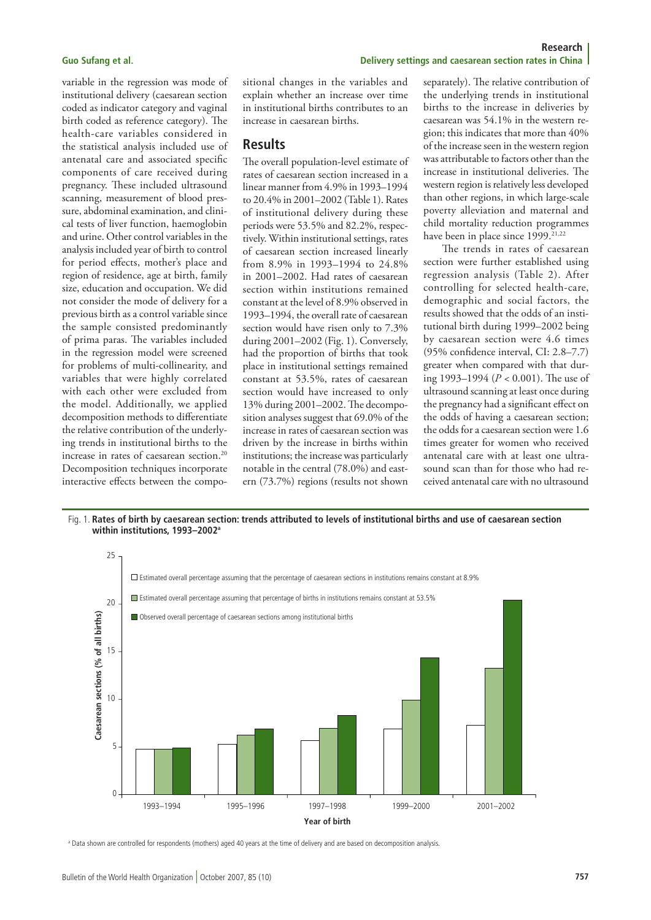variable in the regression was mode of institutional delivery (caesarean section coded as indicator category and vaginal birth coded as reference category). The health-care variables considered in the statistical analysis included use of antenatal care and associated specific components of care received during pregnancy. These included ultrasound scanning, measurement of blood pressure, abdominal examination, and clinical tests of liver function, haemoglobin and urine. Other control variables in the analysis included year of birth to control for period effects, mother's place and region of residence, age at birth, family size, education and occupation. We did not consider the mode of delivery for a previous birth as a control variable since the sample consisted predominantly of prima paras. The variables included in the regression model were screened for problems of multi-collinearity, and variables that were highly correlated with each other were excluded from the model. Additionally, we applied decomposition methods to differentiate the relative contribution of the underlying trends in institutional births to the increase in rates of caesarean section.<sup>20</sup> Decomposition techniques incorporate interactive effects between the compositional changes in the variables and explain whether an increase over time in institutional births contributes to an increase in caesarean births.

# **Results**

The overall population-level estimate of rates of caesarean section increased in a linear manner from 4.9% in 1993–1994 to 20.4% in 2001–2002 (Table 1). Rates of institutional delivery during these periods were 53.5% and 82.2%, respectively. Within institutional settings, rates of caesarean section increased linearly from 8.9% in 1993–1994 to 24.8% in 2001–2002. Had rates of caesarean section within institutions remained constant at the level of 8.9% observed in 1993–1994, the overall rate of caesarean section would have risen only to 7.3% during 2001–2002 (Fig. 1). Conversely, had the proportion of births that took place in institutional settings remained constant at 53.5%, rates of caesarean section would have increased to only 13% during 2001–2002. The decomposition analyses suggest that 69.0% of the increase in rates of caesarean section was driven by the increase in births within institutions; the increase was particularly notable in the central (78.0%) and eastern (73.7%) regions (results not shown

separately). The relative contribution of the underlying trends in institutional births to the increase in deliveries by caesarean was 54.1% in the western region; this indicates that more than 40% of the increase seen in the western region was attributable to factors other than the increase in institutional deliveries. The western region is relatively less developed than other regions, in which large-scale poverty alleviation and maternal and child mortality reduction programmes have been in place since 1999.<sup>21,22</sup>

The trends in rates of caesarean section were further established using regression analysis (Table 2). After controlling for selected health-care, demographic and social factors, the results showed that the odds of an institutional birth during 1999–2002 being by caesarean section were 4.6 times (95% confidence interval, CI: 2.8–7.7) greater when compared with that during 1993–1994 (*P <* 0.001). The use of ultrasound scanning at least once during the pregnancy had a significant effect on the odds of having a caesarean section; the odds for a caesarean section were 1.6 times greater for women who received antenatal care with at least one ultrasound scan than for those who had received antenatal care with no ultrasound

#### Fig. 1. **Rates of birth by caesarean section: trends attributed to levels of institutional births and use of caesarean section within institutions, 1993–2002a**



a Data shown are controlled for respondents (mothers) aged 40 years at the time of delivery and are based on decomposition analysis.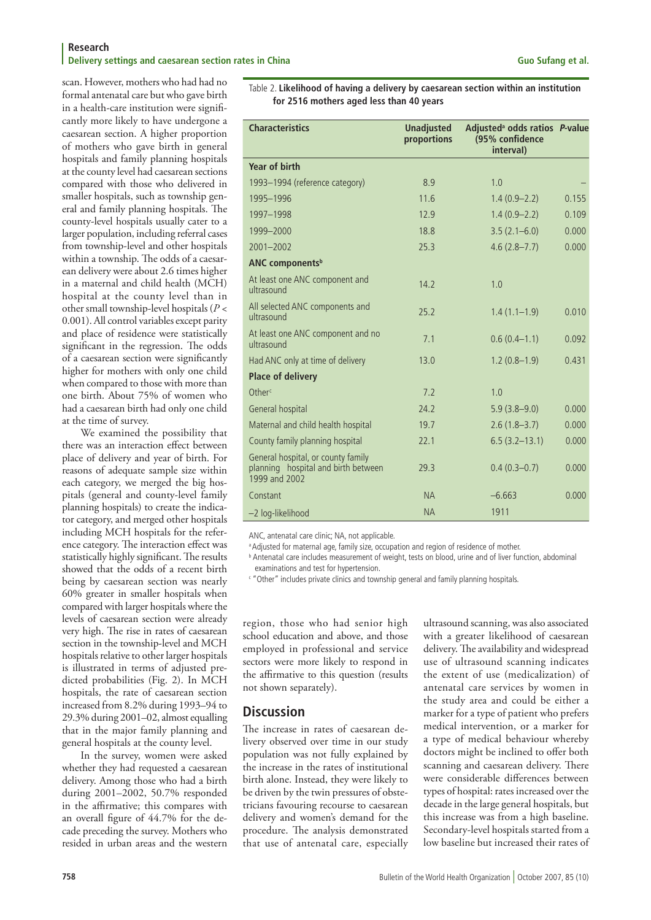scan. However, mothers who had had no formal antenatal care but who gave birth in a health-care institution were significantly more likely to have undergone a caesarean section. A higher proportion of mothers who gave birth in general hospitals and family planning hospitals at the county level had caesarean sections compared with those who delivered in smaller hospitals, such as township general and family planning hospitals. The county-level hospitals usually cater to a larger population, including referral cases from township-level and other hospitals within a township. The odds of a caesarean delivery were about 2.6 times higher in a maternal and child health (MCH) hospital at the county level than in other small township-level hospitals (*P <*  0.001). All control variables except parity and place of residence were statistically significant in the regression. The odds of a caesarean section were significantly higher for mothers with only one child when compared to those with more than one birth. About 75% of women who had a caesarean birth had only one child at the time of survey.

We examined the possibility that there was an interaction effect between place of delivery and year of birth. For reasons of adequate sample size within each category, we merged the big hospitals (general and county-level family planning hospitals) to create the indicator category, and merged other hospitals including MCH hospitals for the reference category. The interaction effect was statistically highly significant. The results showed that the odds of a recent birth being by caesarean section was nearly 60% greater in smaller hospitals when compared with larger hospitals where the levels of caesarean section were already very high. The rise in rates of caesarean section in the township-level and MCH hospitals relative to other larger hospitals is illustrated in terms of adjusted predicted probabilities (Fig. 2). In MCH hospitals, the rate of caesarean section increased from 8.2% during 1993–94 to 29.3% during 2001–02, almost equalling that in the major family planning and general hospitals at the county level.

In the survey, women were asked whether they had requested a caesarean delivery. Among those who had a birth during 2001–2002, 50.7% responded in the affirmative; this compares with an overall figure of 44.7% for the decade preceding the survey. Mothers who resided in urban areas and the western

Table 2. **Likelihood of having a delivery by caesarean section within an institution for 2516 mothers aged less than 40 years**

| <b>Characteristics</b>                                                                     | <b>Unadjusted</b><br>proportions | Adjusted <sup>a</sup> odds ratios P-value<br>(95% confidence<br>interval) |       |
|--------------------------------------------------------------------------------------------|----------------------------------|---------------------------------------------------------------------------|-------|
| Year of birth                                                                              |                                  |                                                                           |       |
| 1993-1994 (reference category)                                                             | 8.9                              | 1.0                                                                       |       |
| 1995-1996                                                                                  | 11.6                             | $1.4(0.9 - 2.2)$                                                          | 0.155 |
| 1997-1998                                                                                  | 12.9                             | $1.4(0.9 - 2.2)$                                                          | 0.109 |
| 1999-2000                                                                                  | 18.8                             | $3.5(2.1 - 6.0)$                                                          | 0.000 |
| $2001 - 2002$                                                                              | 25.3                             | $4.6(2.8 - 7.7)$                                                          | 0.000 |
| ANC components <sup>b</sup>                                                                |                                  |                                                                           |       |
| At least one ANC component and<br>ultrasound                                               | 14.2                             | 1.0                                                                       |       |
| All selected ANC components and<br>ultrasound                                              | 25.2                             | $1.4(1.1-1.9)$                                                            | 0.010 |
| At least one ANC component and no<br>ultrasound                                            | 7.1                              | $0.6(0.4-1.1)$                                                            | 0.092 |
| Had ANC only at time of delivery                                                           | 13.0                             | $1.2(0.8-1.9)$                                                            | 0.431 |
| <b>Place of delivery</b>                                                                   |                                  |                                                                           |       |
| Other <sup>c</sup>                                                                         | 7.2                              | 1.0                                                                       |       |
| General hospital                                                                           | 24.2                             | $5.9(3.8-9.0)$                                                            | 0.000 |
| Maternal and child health hospital                                                         | 19.7                             | $2.6(1.8-3.7)$                                                            | 0.000 |
| County family planning hospital                                                            | 22.1                             | $6.5(3.2-13.1)$                                                           | 0.000 |
| General hospital, or county family<br>planning hospital and birth between<br>1999 and 2002 | 29.3                             | $0.4(0.3-0.7)$                                                            | 0.000 |
| Constant                                                                                   | <b>NA</b>                        | $-6.663$                                                                  | 0.000 |
| -2 log-likelihood                                                                          | <b>NA</b>                        | 1911                                                                      |       |

ANC, antenatal care clinic; NA, not applicable.

a Adjusted for maternal age, family size, occupation and region of residence of mother.

<sup>b</sup> Antenatal care includes measurement of weight, tests on blood, urine and of liver function, abdominal examinations and test for hypertension.

**Carageral Timers** includes private clinics and township general and family planning hospitals.

region, those who had senior high school education and above, and those employed in professional and service sectors were more likely to respond in the affirmative to this question (results not shown separately).

# **Discussion**

The increase in rates of caesarean delivery observed over time in our study population was not fully explained by the increase in the rates of institutional birth alone. Instead, they were likely to be driven by the twin pressures of obstetricians favouring recourse to caesarean delivery and women's demand for the procedure. The analysis demonstrated that use of antenatal care, especially

ultrasound scanning, was also associated with a greater likelihood of caesarean delivery. The availability and widespread use of ultrasound scanning indicates the extent of use (medicalization) of antenatal care services by women in the study area and could be either a marker for a type of patient who prefers medical intervention, or a marker for a type of medical behaviour whereby doctors might be inclined to offer both scanning and caesarean delivery. There were considerable differences between types of hospital: rates increased over the decade in the large general hospitals, but this increase was from a high baseline. Secondary-level hospitals started from a low baseline but increased their rates of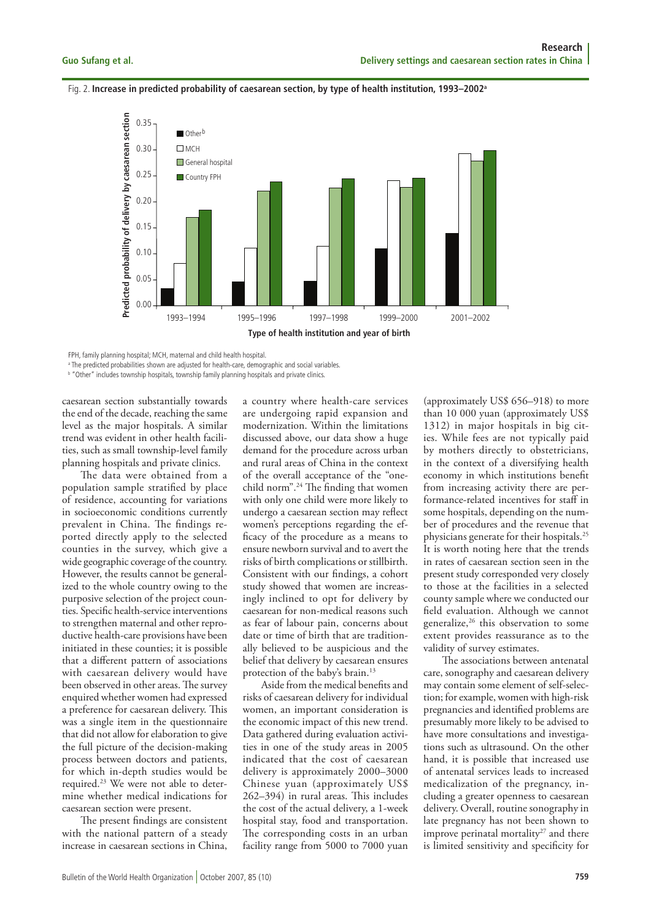

#### Fig. 2. **Increase in predicted probability of caesarean section, by type of health institution, 1993–2002a**

FPH, family planning hospital; MCH, maternal and child health hospital.

a The predicted probabilities shown are adjusted for health-care, demographic and social variables.

**b** "Other" includes township hospitals, township family planning hospitals and private clinics.

caesarean section substantially towards the end of the decade, reaching the same level as the major hospitals. A similar trend was evident in other health facilities, such as small township-level family planning hospitals and private clinics.

The data were obtained from a population sample stratified by place of residence, accounting for variations in socioeconomic conditions currently prevalent in China. The findings reported directly apply to the selected counties in the survey, which give a wide geographic coverage of the country. However, the results cannot be generalized to the whole country owing to the purposive selection of the project counties. Specific health-service interventions to strengthen maternal and other reproductive health-care provisions have been initiated in these counties; it is possible that a different pattern of associations with caesarean delivery would have been observed in other areas. The survey enquired whether women had expressed a preference for caesarean delivery. This was a single item in the questionnaire that did not allow for elaboration to give the full picture of the decision-making process between doctors and patients, for which in-depth studies would be required.23 We were not able to determine whether medical indications for caesarean section were present.

The present findings are consistent with the national pattern of a steady increase in caesarean sections in China,

a country where health-care services are undergoing rapid expansion and modernization. Within the limitations discussed above, our data show a huge demand for the procedure across urban and rural areas of China in the context of the overall acceptance of the "onechild norm".24 The finding that women with only one child were more likely to undergo a caesarean section may reflect women's perceptions regarding the efficacy of the procedure as a means to ensure newborn survival and to avert the risks of birth complications or stillbirth. Consistent with our findings, a cohort study showed that women are increasingly inclined to opt for delivery by caesarean for non-medical reasons such as fear of labour pain, concerns about date or time of birth that are traditionally believed to be auspicious and the belief that delivery by caesarean ensures protection of the baby's brain.<sup>13</sup>

Aside from the medical benefits and risks of caesarean delivery for individual women, an important consideration is the economic impact of this new trend. Data gathered during evaluation activities in one of the study areas in 2005 indicated that the cost of caesarean delivery is approximately 2000–3000 Chinese yuan (approximately US\$ 262–394) in rural areas. This includes the cost of the actual delivery, a 1-week hospital stay, food and transportation. The corresponding costs in an urban facility range from 5000 to 7000 yuan

(approximately US\$ 656–918) to more than 10 000 yuan (approximately US\$ 1312) in major hospitals in big cities. While fees are not typically paid by mothers directly to obstetricians, in the context of a diversifying health economy in which institutions benefit from increasing activity there are performance-related incentives for staff in some hospitals, depending on the number of procedures and the revenue that physicians generate for their hospitals.25 It is worth noting here that the trends in rates of caesarean section seen in the present study corresponded very closely to those at the facilities in a selected county sample where we conducted our field evaluation. Although we cannot generalize,<sup>26</sup> this observation to some extent provides reassurance as to the validity of survey estimates.

The associations between antenatal care, sonography and caesarean delivery may contain some element of self-selection; for example, women with high-risk pregnancies and identified problems are presumably more likely to be advised to have more consultations and investigations such as ultrasound. On the other hand, it is possible that increased use of antenatal services leads to increased medicalization of the pregnancy, including a greater openness to caesarean delivery. Overall, routine sonography in late pregnancy has not been shown to improve perinatal mortality $27$  and there is limited sensitivity and specificity for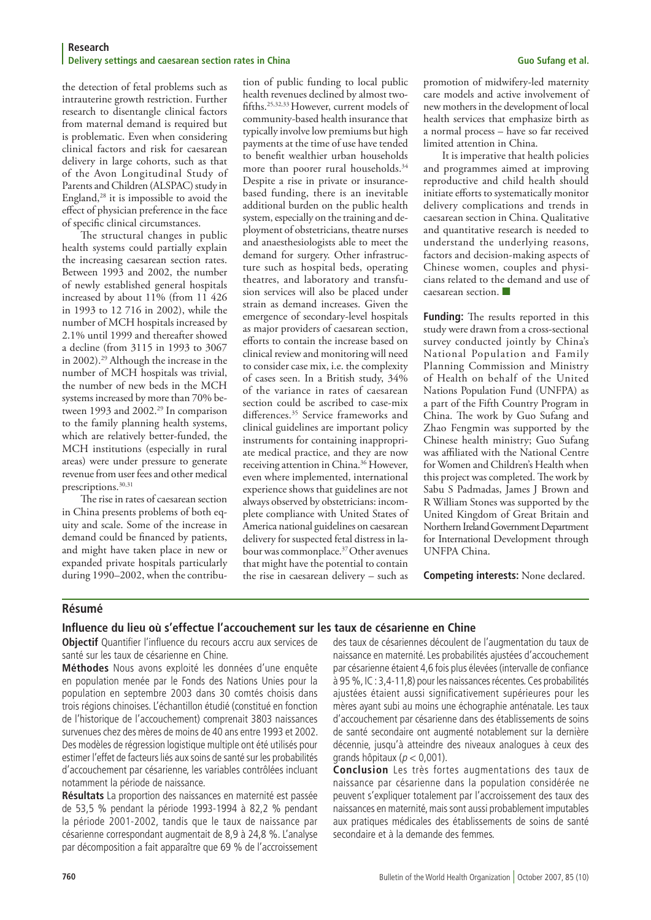the detection of fetal problems such as intrauterine growth restriction. Further research to disentangle clinical factors from maternal demand is required but is problematic. Even when considering clinical factors and risk for caesarean delivery in large cohorts, such as that of the Avon Longitudinal Study of Parents and Children (ALSPAC) study in England,28 it is impossible to avoid the effect of physician preference in the face of specific clinical circumstances.

The structural changes in public health systems could partially explain the increasing caesarean section rates. Between 1993 and 2002, the number of newly established general hospitals increased by about 11% (from 11 426 in 1993 to 12 716 in 2002), while the number of MCH hospitals increased by 2.1% until 1999 and thereafter showed a decline (from 3115 in 1993 to 3067 in 2002).29 Although the increase in the number of MCH hospitals was trivial, the number of new beds in the MCH systems increased by more than 70% between 1993 and 2002.<sup>29</sup> In comparison to the family planning health systems, which are relatively better-funded, the MCH institutions (especially in rural areas) were under pressure to generate revenue from user fees and other medical prescriptions.<sup>30,31</sup>

The rise in rates of caesarean section in China presents problems of both equity and scale. Some of the increase in demand could be financed by patients, and might have taken place in new or expanded private hospitals particularly during 1990–2002, when the contribution of public funding to local public health revenues declined by almost twofifths.25,32,33 However, current models of community-based health insurance that typically involve low premiums but high payments at the time of use have tended to benefit wealthier urban households more than poorer rural households.<sup>34</sup> Despite a rise in private or insurancebased funding, there is an inevitable additional burden on the public health system, especially on the training and deployment of obstetricians, theatre nurses and anaesthesiologists able to meet the demand for surgery. Other infrastructure such as hospital beds, operating theatres, and laboratory and transfusion services will also be placed under strain as demand increases. Given the emergence of secondary-level hospitals as major providers of caesarean section, efforts to contain the increase based on clinical review and monitoring will need to consider case mix, i.e. the complexity of cases seen. In a British study, 34% of the variance in rates of caesarean section could be ascribed to case-mix differences.35 Service frameworks and clinical guidelines are important policy instruments for containing inappropriate medical practice, and they are now receiving attention in China.<sup>36</sup> However, even where implemented, international experience shows that guidelines are not always observed by obstetricians: incomplete compliance with United States of America national guidelines on caesarean delivery for suspected fetal distress in labour was commonplace.37 Other avenues that might have the potential to contain the rise in caesarean delivery – such as

promotion of midwifery-led maternity care models and active involvement of new mothers in the development of local health services that emphasize birth as a normal process – have so far received limited attention in China.

It is imperative that health policies and programmes aimed at improving reproductive and child health should initiate efforts to systematically monitor delivery complications and trends in caesarean section in China. Qualitative and quantitative research is needed to understand the underlying reasons, factors and decision-making aspects of Chinese women, couples and physicians related to the demand and use of caesarean section. ■

**Funding:** The results reported in this study were drawn from a cross-sectional survey conducted jointly by China's National Population and Family Planning Commission and Ministry of Health on behalf of the United Nations Population Fund (UNFPA) as a part of the Fifth Country Program in China. The work by Guo Sufang and Zhao Fengmin was supported by the Chinese health ministry; Guo Sufang was affiliated with the National Centre for Women and Children's Health when this project was completed. The work by Sabu S Padmadas, James J Brown and R William Stones was supported by the United Kingdom of Great Britain and Northern Ireland Government Department for International Development through UNFPA China.

**Competing interests:** None declared.

### **Résumé**

#### **Influence du lieu où s'effectue l'accouchement sur les taux de césarienne en Chine**

**Objectif** Quantifier l'influence du recours accru aux services de santé sur les taux de césarienne en Chine.

**Méthodes** Nous avons exploité les données d'une enquête en population menée par le Fonds des Nations Unies pour la population en septembre 2003 dans 30 comtés choisis dans trois régions chinoises. L'échantillon étudié (constitué en fonction de l'historique de l'accouchement) comprenait 3803 naissances survenues chez des mères de moins de 40 ans entre 1993 et 2002. Des modèles de régression logistique multiple ont été utilisés pour estimer l'effet de facteurs liés aux soins de santé sur les probabilités d'accouchement par césarienne, les variables contrôlées incluant notamment la période de naissance.

**Résultats** La proportion des naissances en maternité est passée de 53,5 % pendant la période 1993-1994 à 82,2 % pendant la période 2001-2002, tandis que le taux de naissance par césarienne correspondant augmentait de 8,9 à 24,8 %. L'analyse par décomposition a fait apparaître que 69 % de l'accroissement

des taux de césariennes découlent de l'augmentation du taux de naissance en maternité. Les probabilités ajustées d'accouchement par césarienne étaient 4,6 fois plus élevées (intervalle de confiance à 95 %, IC : 3,4-11,8) pour les naissances récentes. Ces probabilités ajustées étaient aussi significativement supérieures pour les mères ayant subi au moins une échographie anténatale. Les taux d'accouchement par césarienne dans des établissements de soins de santé secondaire ont augmenté notablement sur la dernière décennie, jusqu'à atteindre des niveaux analogues à ceux des grands hôpitaux ( $p < 0.001$ ).

**Conclusion** Les très fortes augmentations des taux de naissance par césarienne dans la population considérée ne peuvent s'expliquer totalement par l'accroissement des taux des naissances en maternité, mais sont aussi probablement imputables aux pratiques médicales des établissements de soins de santé secondaire et à la demande des femmes.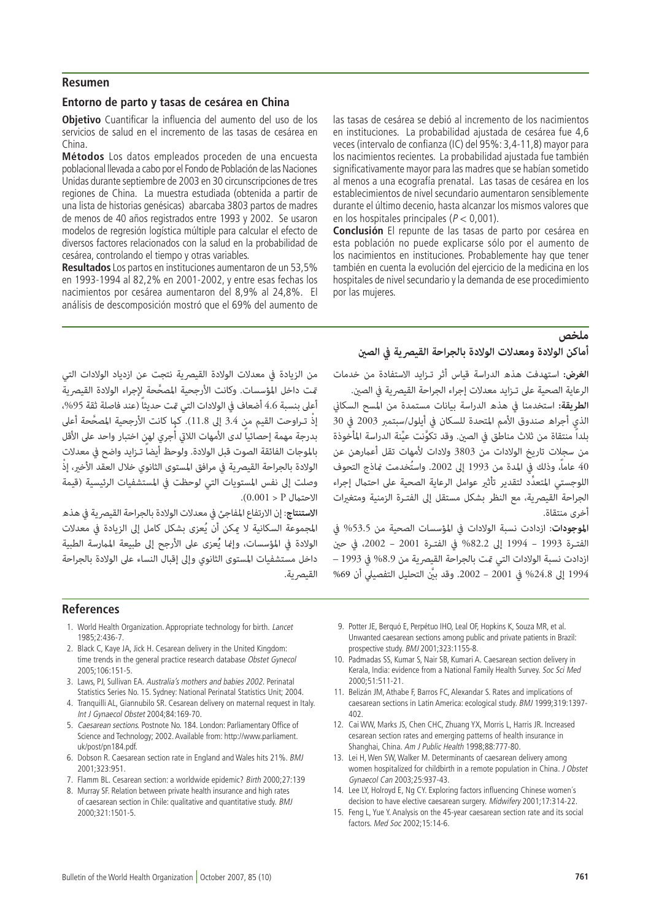#### **Resumen**

#### **Entorno de parto y tasas de cesárea en China**

**Objetivo** Cuantificar la influencia del aumento del uso de los servicios de salud en el incremento de las tasas de cesárea en China.

**Métodos** Los datos empleados proceden de una encuesta poblacional llevada a cabo por el Fondo de Población de las Naciones Unidas durante septiembre de 2003 en 30 circunscripciones de tres regiones de China. La muestra estudiada (obtenida a partir de una lista de historias genésicas) abarcaba 3803 partos de madres de menos de 40 años registrados entre 1993 y 2002. Se usaron modelos de regresión logística múltiple para calcular el efecto de diversos factores relacionados con la salud en la probabilidad de cesárea, controlando el tiempo y otras variables.

**Resultados** Los partos en instituciones aumentaron de un 53,5% en 1993-1994 al 82,2% en 2001-2002, y entre esas fechas los nacimientos por cesárea aumentaron del 8,9% al 24,8%. El análisis de descomposición mostró que el 69% del aumento de las tasas de cesárea se debió al incremento de los nacimientos en instituciones. La probabilidad ajustada de cesárea fue 4,6 veces (intervalo de confianza (IC) del 95%: 3,4-11,8) mayor para los nacimientos recientes. La probabilidad ajustada fue también significativamente mayor para las madres que se habían sometido al menos a una ecografía prenatal. Las tasas de cesárea en los establecimientos de nivel secundario aumentaron sensiblemente durante el último decenio, hasta alcanzar los mismos valores que en los hospitales principales ( $P < 0,001$ ).

**Conclusión** El repunte de las tasas de parto por cesárea en esta población no puede explicarse sólo por el aumento de los nacimientos en instituciones. Probablemente hay que tener también en cuenta la evolución del ejercicio de la medicina en los hospitales de nivel secundario y la demanda de ese procedimiento por las mujeres.

# **ملخص**

أخرى منتقاة.

# **أماكن الوالدة ومعدالت الوالدة بالجراحة القيرصية يف الصني**

ِّ اللوجستي املتعدد لتقدير تأثري عوامل الرعاية الصحية عىل احتامل إجراء الجراحة القيصرية، مع النظر بشكل مستقل إلى الفتـرة الزمنية ومتغيرات

**املوجودات**: ازدادت نسبة الوالدات يف املؤسسات الصحية من %53.5 يف الفتـرة 1993 – 1994 إىل %82.2 يف الفتـرة 2001 – ،2002 يف حني ازدادت نسبة الولادات التي تمت بالجراحة القيصرية من 8.9% في 1993 – 1994 إىل %24.8 يف 2001 – .2002 وقد بينَّ التحليل التفصييل أن %69

**الغرض:** استهدفت هذه الدراسة قياس أثر تـزايد االستفادة من خدمات الرعاية الصحية على تـزايد معدلات إجراء الجراحة القيصرية في الصن. **الطريقة:** استخدمنا يف هذه الدراسة بيانات مستمدة من املسح السكاين الذي أجراه صندوق األمم املتحدة للسكان يف أيلول/سبتمرب 2003 يف 30 بلداً منتقاة من ثلاث مناطق في الصين. وقد تكوَّنت عيِّنة الدراسة المأخوذة من سجلات تاريخ الولادات من 3803 ولادات لأمهات تقل أعمارهن عن <sup>40</sup> عاما،ً وذلك يف املدة من 1993 إىل <sup>2002</sup> ُ . واستخدمت مناذج التحوف من الزيادة في معدلات الولادة القيصرية نتجت عن ازدياد الولادات التي َّ متت داخل املؤسسات. وكانت األرجحية املصححة إلجراء الوالدة القيرصية أعلى بنسبة 4.6 أضعاف في الولادات التي مّت حديثاً (عند فاصلة ثقة 95%، إذْ تـراوحت القيم من 3.4 إلى 11.8). كما كانت الأرجحية المصحَّحة أعلى بدرجة مهمة إحصائياً لدى الأمهات اللاتي أُجري لهنِ اختبار واحد على الأقل باملوجات الفائقة الصوت قبل الوالدة. ولوحظ أيضاً تـزايد واضح يف معدالت

الولادة بالجراحة القيصرية في مرافق المستوى الثانوي خلال العقد الأخير، إذْ وصلت إلى نفس المستويات التي لوحظت في المستشفيات الرئيسية (قيمة الاحتمال P < 0.001).

ا**لاستنتاج**: إن الارتفاع المفاجئ في معدلات الولادة بالجراحة القيصرية في هذه ُ املجموعة السكانية ال ميكن أن يعزى بشكل كامل إىل الزيادة يف معدالت الولادة في المؤسسات، وإنما يُعزى على الأرجح إلى طبيعة الممارسة الطبية داخل مستشفيات املستوى الثانوي وإىل إقبال النساء عىل الوالدة بالجراحة القيصرية.

## **References**

- 1. World Health Organization. Appropriate technology for birth. Lancet 1985;2:436-7.
- 2. Black C, Kaye JA, Jick H. Cesarean delivery in the United Kingdom: time trends in the general practice research database Obstet Gynecol 2005;106:151-5.
- 3. Laws, PJ, Sullivan EA. Australia's mothers and babies 2002. Perinatal Statistics Series No. 15. Sydney: National Perinatal Statistics Unit; 2004.
- 4. Tranquilli AL, Giannubilo SR. Cesarean delivery on maternal request in Italy. Int J Gynaecol Obstet 2004;84:169-70.
- 5. Caesarean sections. Postnote No. 184. London: Parliamentary Office of Science and Technology; 2002. Available from: http://www.parliament. uk/post/pn184.pdf.
- 6. Dobson R. Caesarean section rate in England and Wales hits 21%. BMJ 2001;323:951.
- 7. Flamm BL. Cesarean section: a worldwide epidemic? Birth 2000;27:139
- 8. Murray SF. Relation between private health insurance and high rates of caesarean section in Chile: qualitative and quantitative study. BMJ 2000;321:1501-5.
- 9. Potter JE, Berquó E, Perpétuo IHO, Leal OF, Hopkins K, Souza MR, et al. Unwanted caesarean sections among public and private patients in Brazil: prospective study. BMJ 2001;323:1155-8.
- 10. Padmadas SS, Kumar S, Nair SB, Kumari A. Caesarean section delivery in Kerala, India: evidence from a National Family Health Survey. Soc Sci Med 2000;51:511-21.
- 11. Belizán JM, Athabe F, Barros FC, Alexandar S. Rates and implications of caesarean sections in Latin America: ecological study. BMJ 1999;319:1397- 402.
- 12. Cai WW, Marks JS, Chen CHC, Zhuang YX, Morris L, Harris JR. Increased cesarean section rates and emerging patterns of health insurance in Shanghai, China. Am J Public Health 1998;88:777-80.
- 13. Lei H, Wen SW, Walker M. Determinants of caesarean delivery among women hospitalized for childbirth in a remote population in China. J Obstet Gynaecol Can 2003;25:937-43.
- 14. Lee LY, Holroyd E, Ng CY. Exploring factors influencing Chinese women´s decision to have elective caesarean surgery. Midwifery 2001;17:314-22.
- 15. Feng L, Yue Y. Analysis on the 45-year caesarean section rate and its social factors. Med Soc 2002;15:14-6.